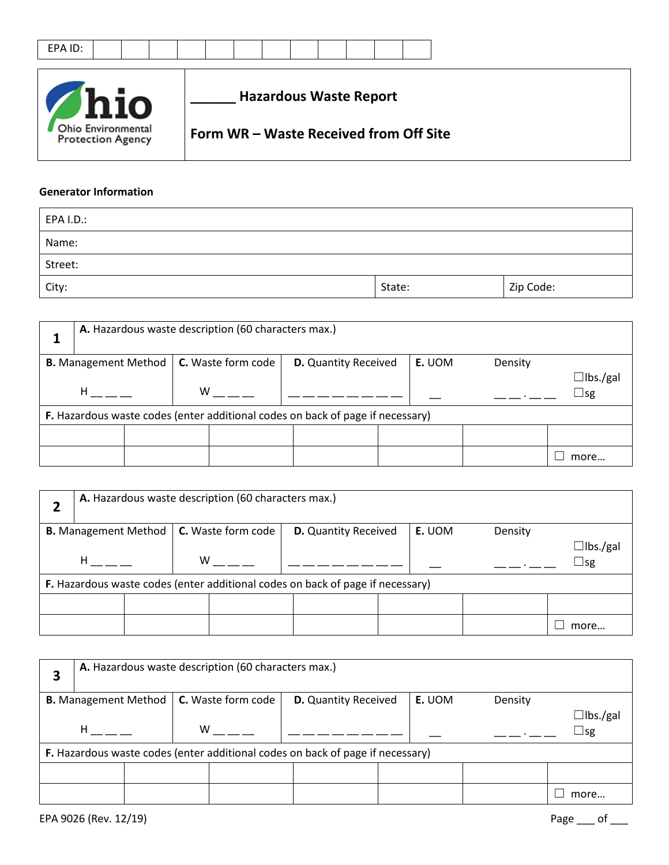|--|--|--|--|--|--|--|--|--|--|



## **Generator Information**

| EPA I.D.: |        |           |
|-----------|--------|-----------|
| Name:     |        |           |
| Street:   |        |           |
| City:     | State: | Zip Code: |

| A. Hazardous waste description (60 characters max.) |  |   |                           |  |                                                                                |  |        |         |             |                 |
|-----------------------------------------------------|--|---|---------------------------|--|--------------------------------------------------------------------------------|--|--------|---------|-------------|-----------------|
| <b>B.</b> Management Method                         |  |   | <b>C.</b> Waste form code |  | <b>D.</b> Quantity Received                                                    |  | E. UOM | Density |             |                 |
| н                                                   |  | w |                           |  |                                                                                |  |        |         | $\sqcup$ sg | $\Box$ lbs./gal |
|                                                     |  |   |                           |  | F. Hazardous waste codes (enter additional codes on back of page if necessary) |  |        |         |             |                 |
|                                                     |  |   |                           |  |                                                                                |  |        |         |             |                 |
|                                                     |  |   |                           |  |                                                                                |  |        |         | more        |                 |

| A. Hazardous waste description (60 characters max.) |  |   |                                                         |  |                                                                                |  |        |         |  |  |                                 |
|-----------------------------------------------------|--|---|---------------------------------------------------------|--|--------------------------------------------------------------------------------|--|--------|---------|--|--|---------------------------------|
|                                                     |  |   | <b>B.</b> Management Method   <b>C.</b> Waste form code |  | <b>D.</b> Quantity Received                                                    |  | E. UOM | Density |  |  |                                 |
| H                                                   |  | W |                                                         |  |                                                                                |  |        |         |  |  | $\Box$ lbs./gal<br>$\square$ sg |
|                                                     |  |   |                                                         |  | F. Hazardous waste codes (enter additional codes on back of page if necessary) |  |        |         |  |  |                                 |
|                                                     |  |   |                                                         |  |                                                                                |  |        |         |  |  |                                 |
|                                                     |  |   |                                                         |  |                                                                                |  |        |         |  |  | more                            |

| 3 | A. Hazardous waste description (60 characters max.) |  |   |                           |  |                                                                                |  |        |         |  |                              |
|---|-----------------------------------------------------|--|---|---------------------------|--|--------------------------------------------------------------------------------|--|--------|---------|--|------------------------------|
|   | <b>B.</b> Management Method                         |  |   | <b>C.</b> Waste form code |  | <b>D.</b> Quantity Received                                                    |  | E. UOM | Density |  |                              |
|   | H                                                   |  | W |                           |  |                                                                                |  |        |         |  | $\Box$ lbs./gal<br>$\Box$ sg |
|   |                                                     |  |   |                           |  | F. Hazardous waste codes (enter additional codes on back of page if necessary) |  |        |         |  |                              |
|   |                                                     |  |   |                           |  |                                                                                |  |        |         |  |                              |
|   |                                                     |  |   |                           |  |                                                                                |  |        |         |  | more                         |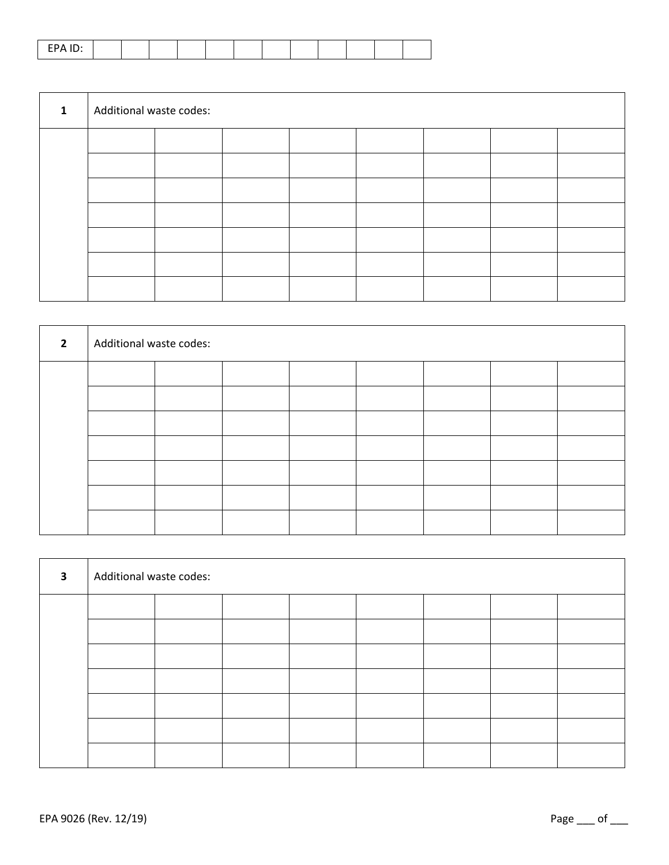|--|--|--|--|--|--|--|--|--|--|--|--|

| $\mathbf{1}$ | Additional waste codes: |  |  |  |  |  |  |  |  |  |  |
|--------------|-------------------------|--|--|--|--|--|--|--|--|--|--|
|              |                         |  |  |  |  |  |  |  |  |  |  |
|              |                         |  |  |  |  |  |  |  |  |  |  |
|              |                         |  |  |  |  |  |  |  |  |  |  |
|              |                         |  |  |  |  |  |  |  |  |  |  |
|              |                         |  |  |  |  |  |  |  |  |  |  |
|              |                         |  |  |  |  |  |  |  |  |  |  |
|              |                         |  |  |  |  |  |  |  |  |  |  |

| $\overline{2}$ | Additional waste codes: |  |  |  |  |  |  |  |  |  |  |
|----------------|-------------------------|--|--|--|--|--|--|--|--|--|--|
|                |                         |  |  |  |  |  |  |  |  |  |  |
|                |                         |  |  |  |  |  |  |  |  |  |  |
|                |                         |  |  |  |  |  |  |  |  |  |  |
|                |                         |  |  |  |  |  |  |  |  |  |  |
|                |                         |  |  |  |  |  |  |  |  |  |  |
|                |                         |  |  |  |  |  |  |  |  |  |  |
|                |                         |  |  |  |  |  |  |  |  |  |  |

| $\overline{\mathbf{3}}$ | Additional waste codes: |  |  |  |  |  |  |  |  |  |  |
|-------------------------|-------------------------|--|--|--|--|--|--|--|--|--|--|
|                         |                         |  |  |  |  |  |  |  |  |  |  |
|                         |                         |  |  |  |  |  |  |  |  |  |  |
|                         |                         |  |  |  |  |  |  |  |  |  |  |
|                         |                         |  |  |  |  |  |  |  |  |  |  |
|                         |                         |  |  |  |  |  |  |  |  |  |  |
|                         |                         |  |  |  |  |  |  |  |  |  |  |
|                         |                         |  |  |  |  |  |  |  |  |  |  |